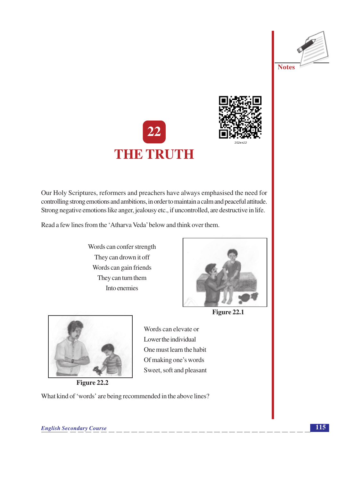





Our Holy Scriptures, reformers and preachers have always emphasised the need for controlling strong emotions and ambitions, in order to maintain a calm and peaceful attitude. Strong negative emotions like anger, jealousy etc., if uncontrolled, are destructive in life.

Read a few lines from the 'Atharva Veda' below and think over them.

Words can confer strength They can drown it off Words can gain friends They can turn them Into enemies



Figure 22.1



Figure 22.2

Words can elevate or Lower the individual One must learn the habit Of making one's words Sweet, soft and pleasant

What kind of 'words' are being recommended in the above lines?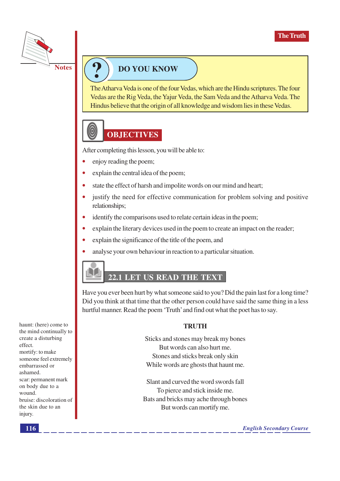

## **DO YOU KNOW**

The Atharva Veda is one of the four Vedas, which are the Hindu scriptures. The four Vedas are the Rig Veda, the Yajur Veda, the Sam Veda and the Atharva Veda. The Hindus believe that the origin of all knowledge and wisdom lies in these Vedas.



After completing this lesson, you will be able to:

- enjoy reading the poem;
- explain the central idea of the poem;  $\bullet$
- $\bullet$ state the effect of harsh and impolite words on our mind and heart;
- justify the need for effective communication for problem solving and positive relationships;
- identify the comparisons used to relate certain ideas in the poem;
- $\bullet$ explain the literary devices used in the poem to create an impact on the reader;
- explain the significance of the title of the poem, and
- analyse your own behaviour in reaction to a particular situation.

## 22.1 LET US READ THE TEXT

Have you ever been hurt by what someone said to you? Did the pain last for a long time? Did you think at that time that the other person could have said the same thing in a less hurtful manner. Read the poem 'Truth' and find out what the poet has to say.

#### **TRUTH**

Sticks and stones may break my bones But words can also hurt me. Stones and sticks break only skin While words are ghosts that haunt me.

Slant and curved the word swords fall To pierce and stick inside me. Bats and bricks may ache through bones But words can mortify me.

haunt: (here) come to the mind continually to create a disturbing effect. mortify: to make someone feel extremely embarrassed or ashamed. scar: permanent mark on body due to a wound bruise: discoloration of the skin due to an injury.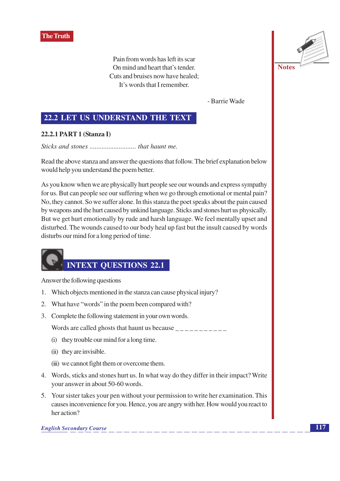

Pain from words has left its scar On mind and heart that's tender. Cuts and bruises now have healed; It's words that I remember.

- Barrie Wade

#### 22.2 LET US UNDERSTAND THE TEXT

#### 22.2.1 PART 1 (Stanza I)

Read the above stanza and answer the questions that follow. The brief explanation below would help you understand the poem better.

As you know when we are physically hurt people see our wounds and express sympathy for us. But can people see our suffering when we go through emotional or mental pain? No, they cannot. So we suffer alone. In this stanza the poet speaks about the pain caused by weapons and the hurt caused by unkind language. Sticks and stones hurt us physically. But we get hurt emotionally by rude and harsh language. We feel mentally upset and disturbed. The wounds caused to our body heal up fast but the insult caused by words disturbs our mind for a long period of time.

## **INTEXT QUESTIONS 22.1**

Answer the following questions

- 1. Which objects mentioned in the stanza can cause physical injury?
- 2. What have "words" in the poem been compared with?
- 3. Complete the following statement in your own words.

Words are called ghosts that haunt us because  $\frac{1}{1}$ 

- (i) they trouble our mind for a long time.
- (ii) they are invisible.
- (iii) we cannot fight them or overcome them.
- 4. Words, sticks and stones hurt us. In what way do they differ in their impact? Write your answer in about 50-60 words.
- 5. Your sister takes your pen without your permission to write her examination. This causes inconvenience for you. Hence, you are angry with her. How would you react to her action?

**English Secondary Course** 

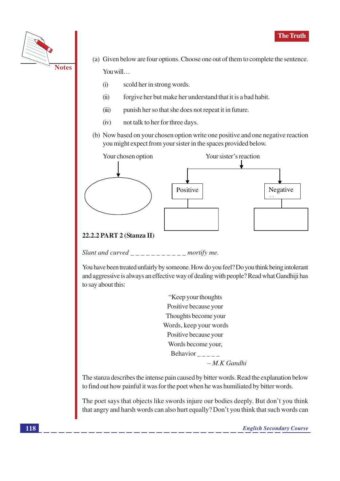

- (a) Given below are four options. Choose one out of them to complete the sentence. You will...
	- $(i)$ scold her in strong words.
	- $(ii)$ forgive her but make her understand that it is a bad habit.
	- punish her so that she does not repeat it in future.  $(iii)$
	- not talk to her for three days.  $(iv)$
- (b) Now based on your chosen option write one positive and one negative reaction you might expect from your sister in the spaces provided below.



#### 22.2.2 PART 2 (Stanza II)

Slant and curved \_\_\_\_\_\_\_\_\_\_\_\_\_ mortify me.

You have been treated unfairly by someone. How do you feel? Do you think being intolerant and aggressive is always an effective way of dealing with people? Read what Gandhiji has to say about this:

> "Keep your thoughts Positive because your Thoughts become your Words, keep your words Positive because your Words become your, Behavior  $-M.K$  Gandhi

The stanza describes the intense pain caused by bitter words. Read the explanation below to find out how painful it was for the poet when he was humiliated by bitter words.

The poet says that objects like swords injure our bodies deeply. But don't you think that angry and harsh words can also hurt equally? Don't you think that such words can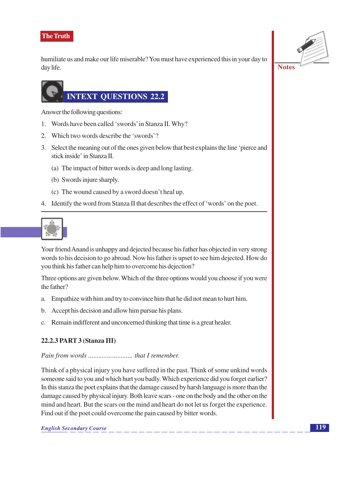humiliate us and make our life miserable? You must have experienced this in your day to day life.



# **NTEXT QUESTIONS 22.2**

Answer the following questions:

- 1. Words have been called 'swords' in Stanza II. Why?
- 2. Which two words describe the 'swords'?
- 3. Select the meaning out of the ones given below that best explains the line 'pierce and stick inside' in Stanza II.
	- (a) The impact of bitter words is deep and long lasting.
	- (b) Swords injure sharply.
	- (c) The wound caused by a sword doesn't heal up.
- 4. Identify the word from Stanza II that describes the effect of 'words' on the poet.

Your friend Anand is unhappy and dejected because his father has objected in very strong words to his decision to go abroad. Now his father is upset to see him dejected. How do you think his father can help him to overcome his dejection?

Three options are given below. Which of the three options would you choose if you were the father?

- Empathize with him and try to convince him that he did not mean to hurt him.  $a_{-}$
- b. Accept his decision and allow him pursue his plans.
- c. Remain indifferent and unconcerned thinking that time is a great healer.

#### 22.2.3 PART 3 (Stanza III)

#### 

Think of a physical injury you have suffered in the past. Think of some unkind words someone said to you and which hurt you badly. Which experience did you forget earlier? In this stanza the poet explains that the damage caused by harsh language is more than the damage caused by physical injury. Both leave scars - one on the body and the other on the mind and heart. But the scars on the mind and heart do not let us forget the experience. Find out if the poet could overcome the pain caused by bitter words.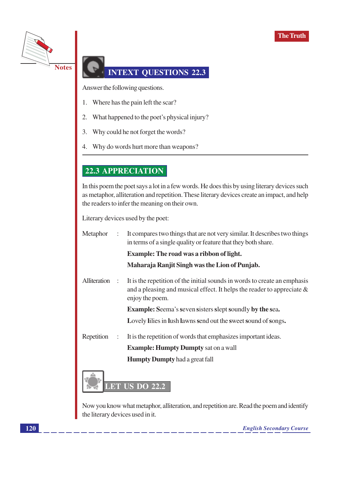

## **INTEXT OUESTIONS 22.3**

Answer the following questions.

- 1. Where has the pain left the scar?
- 2. What happened to the poet's physical injury?
- $3.$ Why could he not forget the words?
- Why do words hurt more than weapons? 4.

### **22.3 APPRECIATION**

In this poem the poet says a lot in a few words. He does this by using literary devices such as metaphor, alliteration and repetition. These literary devices create an impact, and help the readers to infer the meaning on their own.

Literary devices used by the poet:

| Metaphor     | $\ddot{\phantom{a}}$ | It compares two things that are not very similar. It describes two things<br>in terms of a single quality or feature that they both share.                                |  |
|--------------|----------------------|---------------------------------------------------------------------------------------------------------------------------------------------------------------------------|--|
|              |                      | <b>Example: The road was a ribbon of light.</b>                                                                                                                           |  |
|              |                      | Maharaja Ranjit Singh was the Lion of Punjab.                                                                                                                             |  |
| Alliteration | $\ddot{\cdot}$       | It is the repetition of the initial sounds in words to create an emphasis<br>and a pleasing and musical effect. It helps the reader to appreciate $\&$<br>enjoy the poem. |  |
|              |                      | <b>Example:</b> Seema's seven sisters slept soundly by the sea.                                                                                                           |  |
|              |                      | Lovely lilies in lush lawns send out the sweet sound of songs.                                                                                                            |  |
| Repetition   | $\ddot{\phantom{a}}$ | It is the repetition of words that emphasizes important ideas.                                                                                                            |  |
|              |                      | <b>Example: Humpty Dumpty sat on a wall</b>                                                                                                                               |  |
|              |                      | <b>Humpty Dumpty</b> had a great fall                                                                                                                                     |  |
|              | <b>DID</b>           | $\overline{1}$ IS DO 22.2                                                                                                                                                 |  |

Now you know what metaphor, alliteration, and repetition are. Read the poem and identify the literary devices used in it.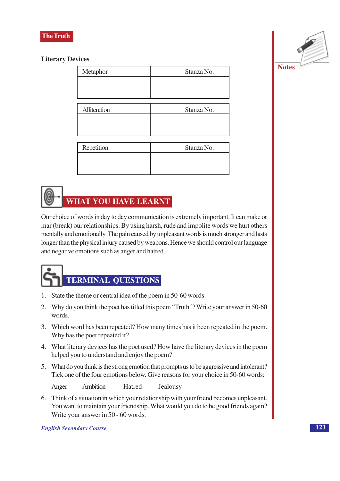

#### **Literary Devices**

| Metaphor     | Stanza No. |
|--------------|------------|
|              |            |
|              |            |
|              |            |
| Alliteration | Stanza No. |
|              |            |
|              |            |
|              | Stanza No. |
| Repetition   |            |
|              |            |
|              |            |
|              |            |

## **WHAT YOU HAVE LEARNT**

Our choice of words in day to day communication is extremely important. It can make or mar (break) our relationships. By using harsh, rude and impolite words we hurt others mentally and emotionally. The pain caused by unpleasant words is much stronger and lasts longer than the physical injury caused by weapons. Hence we should control our language and negative emotions such as anger and hatred.

# **TERMINAL QUESTIONS**

- 1. State the theme or central idea of the poem in 50-60 words.
- 2. Why do you think the poet has titled this poem "Truth"? Write your answer in 50-60 words.
- 3. Which word has been repeated? How many times has it been repeated in the poem. Why has the poet repeated it?
- 4. What literary devices has the poet used? How have the literary devices in the poem helped you to understand and enjoy the poem?
- 5. What do you think is the strong emotion that prompts us to be aggressive and intolerant? Tick one of the four emotions below. Give reasons for your choice in 50-60 words:

Ambition Hatred Anger Jealousy

6. Think of a situation in which your relationship with your friend becomes unpleasant. You want to maintain your friendship. What would you do to be good friends again? Write your answer in 50 - 60 words.

**English Secondary Course**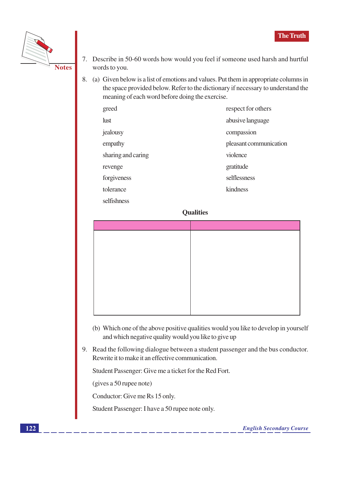

- 7. Describe in 50-60 words how would you feel if someone used harsh and hurtful words to you.
- 8. (a) Given below is a list of emotions and values. Put them in appropriate columns in the space provided below. Refer to the dictionary if necessary to understand the meaning of each word before doing the exercise.

| greed              | respect for others     |
|--------------------|------------------------|
| <b>lust</b>        | abusive language       |
| jealousy           | compassion             |
| empathy            | pleasant communication |
| sharing and caring | violence               |
| revenge            | gratitude              |
| forgiveness        | selflessness           |
| tolerance          | kindness               |
| selfishness        |                        |

#### **Qualities**

- (b) Which one of the above positive qualities would you like to develop in yourself and which negative quality would you like to give up
- 9. Read the following dialogue between a student passenger and the bus conductor. Rewrite it to make it an effective communication.

Student Passenger: Give me a ticket for the Red Fort.

(gives a 50 rupee note)

Conductor: Give me Rs 15 only.

Student Passenger: I have a 50 rupee note only.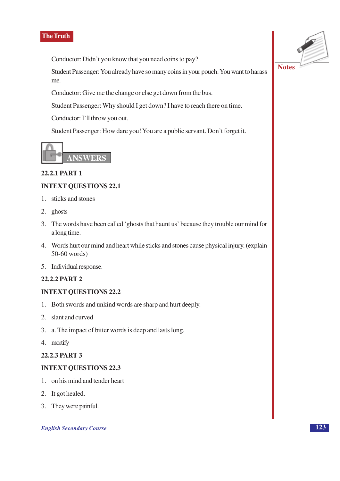Conductor: Didn't you know that you need coins to pay?

Student Passenger: You already have so many coins in your pouch. You want to harass me.

Conductor: Give me the change or else get down from the bus.

Student Passenger: Why should I get down? I have to reach there on time.

Conductor: I'll throw you out.

Student Passenger: How dare you! You are a public servant. Don't forget it.



#### 22.2.1 PART 1

#### **INTEXT QUESTIONS 22.1**

- 1. sticks and stones
- 2. ghosts
- 3. The words have been called 'ghosts that haunt us' because they trouble our mind for a long time.
- 4. Words hurt our mind and heart while sticks and stones cause physical injury. (explain  $50-60$  words)
- 5. Individual response.

#### **22.2.2 PART 2**

#### **INTEXT QUESTIONS 22.2**

- 1. Both swords and unkind words are sharp and hurt deeply.
- 2. slant and curved
- 3. a. The impact of bitter words is deep and lasts long.
- 4. mortify

#### 22.2.3 PART 3

#### **INTEXT QUESTIONS 22.3**

- 1. on his mind and tender heart
- 2. It got healed.
- 3. They were painful.

**English Secondary Course** 

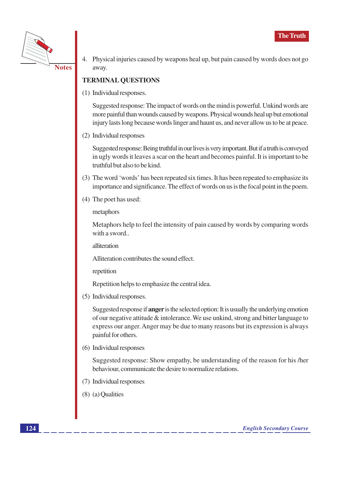

4. Physical injuries caused by weapons heal up, but pain caused by words does not go away.

#### **TERMINAL QUESTIONS**

(1) Individual responses.

Suggested response: The impact of words on the mind is powerful. Unkind words are more painful than wounds caused by weapons. Physical wounds heal up but emotional injury lasts long because words linger and haunt us, and never allow us to be at peace.

(2) Individual responses

Suggested response: Being truthful in our lives is very important. But if a truth is conveyed in ugly words it leaves a scar on the heart and becomes painful. It is important to be truthful but also to be kind.

- (3) The word 'words' has been repeated six times. It has been repeated to emphasize its importance and significance. The effect of words on us is the focal point in the poem.
- (4) The poet has used:

metaphors

Metaphors help to feel the intensity of pain caused by words by comparing words with a sword..

alliteration

Alliteration contributes the sound effect.

repetition

Repetition helps to emphasize the central idea.

(5) Individual responses.

Suggested response if **anger** is the selected option: It is usually the underlying emotion of our negative attitude  $\&$  intolerance. We use unkind, strong and bitter language to express our anger. Anger may be due to many reasons but its expression is always painful for others.

(6) Individual responses

Suggested response: Show empathy, be understanding of the reason for his /her behaviour, communicate the desire to normalize relations.

- (7) Individual responses
- $(8)$  (a) Qualities